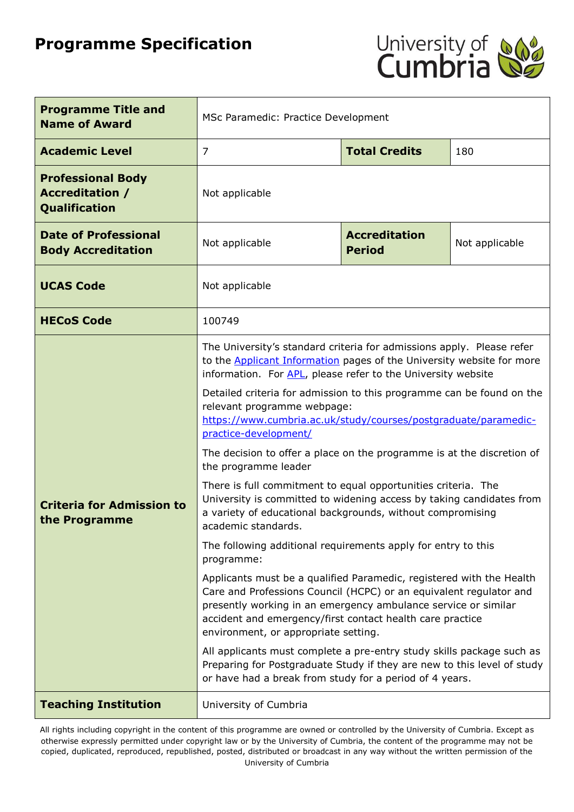# **Programme Specification**



| <b>Programme Title and</b><br><b>Name of Award</b>                         | MSc Paramedic: Practice Development                                                                                                                                                                                                                                                                                                                                                                                                                                                                                                                                                                                                                                                                                                                                                                                                                                                                                                                                                                                                                                                                                                                                                                                                    |                      |                                                                                                                                    |  |  |
|----------------------------------------------------------------------------|----------------------------------------------------------------------------------------------------------------------------------------------------------------------------------------------------------------------------------------------------------------------------------------------------------------------------------------------------------------------------------------------------------------------------------------------------------------------------------------------------------------------------------------------------------------------------------------------------------------------------------------------------------------------------------------------------------------------------------------------------------------------------------------------------------------------------------------------------------------------------------------------------------------------------------------------------------------------------------------------------------------------------------------------------------------------------------------------------------------------------------------------------------------------------------------------------------------------------------------|----------------------|------------------------------------------------------------------------------------------------------------------------------------|--|--|
| <b>Academic Level</b>                                                      | 7                                                                                                                                                                                                                                                                                                                                                                                                                                                                                                                                                                                                                                                                                                                                                                                                                                                                                                                                                                                                                                                                                                                                                                                                                                      | <b>Total Credits</b> | 180                                                                                                                                |  |  |
| <b>Professional Body</b><br><b>Accreditation /</b><br><b>Qualification</b> | Not applicable                                                                                                                                                                                                                                                                                                                                                                                                                                                                                                                                                                                                                                                                                                                                                                                                                                                                                                                                                                                                                                                                                                                                                                                                                         |                      |                                                                                                                                    |  |  |
| <b>Date of Professional</b><br><b>Body Accreditation</b>                   | <b>Accreditation</b><br>Not applicable<br>Not applicable<br><b>Period</b>                                                                                                                                                                                                                                                                                                                                                                                                                                                                                                                                                                                                                                                                                                                                                                                                                                                                                                                                                                                                                                                                                                                                                              |                      |                                                                                                                                    |  |  |
| <b>UCAS Code</b>                                                           | Not applicable                                                                                                                                                                                                                                                                                                                                                                                                                                                                                                                                                                                                                                                                                                                                                                                                                                                                                                                                                                                                                                                                                                                                                                                                                         |                      |                                                                                                                                    |  |  |
| <b>HECoS Code</b>                                                          | 100749                                                                                                                                                                                                                                                                                                                                                                                                                                                                                                                                                                                                                                                                                                                                                                                                                                                                                                                                                                                                                                                                                                                                                                                                                                 |                      |                                                                                                                                    |  |  |
| <b>Criteria for Admission to</b><br>the Programme                          | The University's standard criteria for admissions apply. Please refer<br>to the <b>Applicant Information</b> pages of the University website for more<br>information. For APL, please refer to the University website<br>Detailed criteria for admission to this programme can be found on the<br>relevant programme webpage:<br>https://www.cumbria.ac.uk/study/courses/postgraduate/paramedic-<br>practice-development/<br>The decision to offer a place on the programme is at the discretion of<br>the programme leader<br>There is full commitment to equal opportunities criteria. The<br>University is committed to widening access by taking candidates from<br>a variety of educational backgrounds, without compromising<br>academic standards.<br>The following additional requirements apply for entry to this<br>programme:<br>Applicants must be a qualified Paramedic, registered with the Health<br>Care and Professions Council (HCPC) or an equivalent regulator and<br>presently working in an emergency ambulance service or similar<br>accident and emergency/first contact health care practice<br>environment, or appropriate setting.<br>All applicants must complete a pre-entry study skills package such as |                      | Preparing for Postgraduate Study if they are new to this level of study<br>or have had a break from study for a period of 4 years. |  |  |
| <b>Teaching Institution</b>                                                | University of Cumbria                                                                                                                                                                                                                                                                                                                                                                                                                                                                                                                                                                                                                                                                                                                                                                                                                                                                                                                                                                                                                                                                                                                                                                                                                  |                      |                                                                                                                                    |  |  |

All rights including copyright in the content of this programme are owned or controlled by the University of Cumbria. Except as otherwise expressly permitted under copyright law or by the University of Cumbria, the content of the programme may not be copied, duplicated, reproduced, republished, posted, distributed or broadcast in any way without the written permission of the University of Cumbria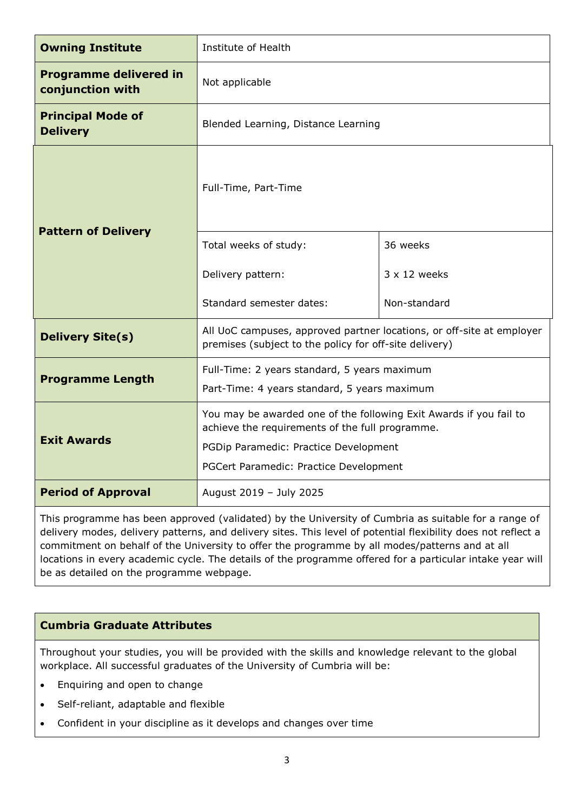| <b>Owning Institute</b>                           | Institute of Health                                                                                                                                                                                      |                     |  |
|---------------------------------------------------|----------------------------------------------------------------------------------------------------------------------------------------------------------------------------------------------------------|---------------------|--|
| <b>Programme delivered in</b><br>conjunction with | Not applicable                                                                                                                                                                                           |                     |  |
| <b>Principal Mode of</b><br><b>Delivery</b>       | Blended Learning, Distance Learning                                                                                                                                                                      |                     |  |
| <b>Pattern of Delivery</b>                        | Full-Time, Part-Time                                                                                                                                                                                     |                     |  |
|                                                   | Total weeks of study:                                                                                                                                                                                    | 36 weeks            |  |
|                                                   | Delivery pattern:                                                                                                                                                                                        | $3 \times 12$ weeks |  |
|                                                   | Standard semester dates:                                                                                                                                                                                 | Non-standard        |  |
| <b>Delivery Site(s)</b>                           | All UoC campuses, approved partner locations, or off-site at employer<br>premises (subject to the policy for off-site delivery)                                                                          |                     |  |
| <b>Programme Length</b>                           | Full-Time: 2 years standard, 5 years maximum<br>Part-Time: 4 years standard, 5 years maximum                                                                                                             |                     |  |
| <b>Exit Awards</b>                                | You may be awarded one of the following Exit Awards if you fail to<br>achieve the requirements of the full programme.<br>PGDip Paramedic: Practice Development<br>PGCert Paramedic: Practice Development |                     |  |
| <b>Period of Approval</b>                         | August 2019 - July 2025                                                                                                                                                                                  |                     |  |

This programme has been approved (validated) by the University of Cumbria as suitable for a range of delivery modes, delivery patterns, and delivery sites. This level of potential flexibility does not reflect a commitment on behalf of the University to offer the programme by all modes/patterns and at all locations in every academic cycle. The details of the programme offered for a particular intake year will be as detailed on the programme webpage.

### **Cumbria Graduate Attributes**

Throughout your studies, you will be provided with the skills and knowledge relevant to the global workplace. All successful graduates of the University of Cumbria will be:

- Enquiring and open to change
- Self-reliant, adaptable and flexible
- Confident in your discipline as it develops and changes over time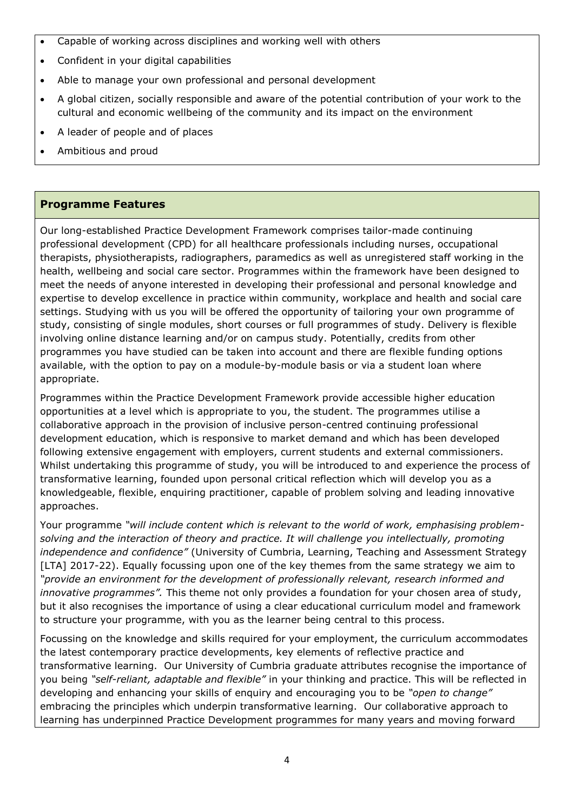- Capable of working across disciplines and working well with others
- Confident in your digital capabilities
- Able to manage your own professional and personal development
- A global citizen, socially responsible and aware of the potential contribution of your work to the cultural and economic wellbeing of the community and its impact on the environment
- A leader of people and of places
- Ambitious and proud

# **Programme Features**

Our long-established Practice Development Framework comprises tailor-made continuing professional development (CPD) for all healthcare professionals including nurses, occupational therapists, physiotherapists, radiographers, paramedics as well as unregistered staff working in the health, wellbeing and social care sector. Programmes within the framework have been designed to meet the needs of anyone interested in developing their professional and personal knowledge and expertise to develop excellence in practice within community, workplace and health and social care settings. Studying with us you will be offered the opportunity of tailoring your own programme of study, consisting of single modules, short courses or full programmes of study. Delivery is flexible involving online distance learning and/or on campus study. Potentially, credits from other programmes you have studied can be taken into account and there are flexible funding options available, with the option to pay on a module-by-module basis or via a student loan where appropriate.

Programmes within the Practice Development Framework provide accessible higher education opportunities at a level which is appropriate to you, the student. The programmes utilise a collaborative approach in the provision of inclusive person-centred continuing professional development education, which is responsive to market demand and which has been developed following extensive engagement with employers, current students and external commissioners. Whilst undertaking this programme of study, you will be introduced to and experience the process of transformative learning, founded upon personal critical reflection which will develop you as a knowledgeable, flexible, enquiring practitioner, capable of problem solving and leading innovative approaches.

Your programme *"will include content which is relevant to the world of work, emphasising problemsolving and the interaction of theory and practice. It will challenge you intellectually, promoting independence and confidence"* (University of Cumbria, Learning, Teaching and Assessment Strategy [LTA] 2017-22). Equally focussing upon one of the key themes from the same strategy we aim to *"provide an environment for the development of professionally relevant, research informed and innovative programmes".* This theme not only provides a foundation for your chosen area of study, but it also recognises the importance of using a clear educational curriculum model and framework to structure your programme, with you as the learner being central to this process.

Focussing on the knowledge and skills required for your employment, the curriculum accommodates the latest contemporary practice developments, key elements of reflective practice and transformative learning. Our University of Cumbria graduate attributes recognise the importance of you being *"self-reliant, adaptable and flexible"* in your thinking and practice. This will be reflected in developing and enhancing your skills of enquiry and encouraging you to be *"open to change"*  embracing the principles which underpin transformative learning. Our collaborative approach to learning has underpinned Practice Development programmes for many years and moving forward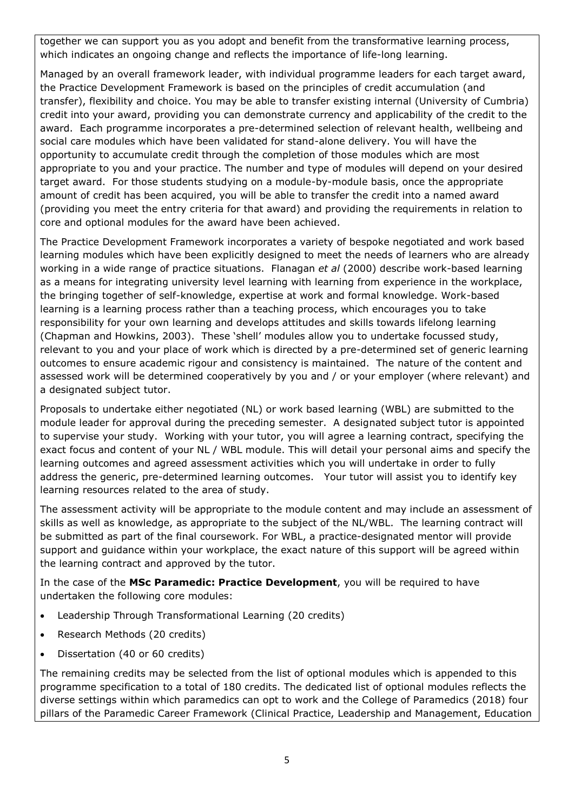together we can support you as you adopt and benefit from the transformative learning process, which indicates an ongoing change and reflects the importance of life-long learning.

Managed by an overall framework leader, with individual programme leaders for each target award, the Practice Development Framework is based on the principles of credit accumulation (and transfer), flexibility and choice. You may be able to transfer existing internal (University of Cumbria) credit into your award, providing you can demonstrate currency and applicability of the credit to the award. Each programme incorporates a pre-determined selection of relevant health, wellbeing and social care modules which have been validated for stand-alone delivery. You will have the opportunity to accumulate credit through the completion of those modules which are most appropriate to you and your practice. The number and type of modules will depend on your desired target award. For those students studying on a module-by-module basis, once the appropriate amount of credit has been acquired, you will be able to transfer the credit into a named award (providing you meet the entry criteria for that award) and providing the requirements in relation to core and optional modules for the award have been achieved.

The Practice Development Framework incorporates a variety of bespoke negotiated and work based learning modules which have been explicitly designed to meet the needs of learners who are already working in a wide range of practice situations. Flanagan *et al* (2000) describe work-based learning as a means for integrating university level learning with learning from experience in the workplace, the bringing together of self-knowledge, expertise at work and formal knowledge. Work-based learning is a learning process rather than a teaching process, which encourages you to take responsibility for your own learning and develops attitudes and skills towards lifelong learning (Chapman and Howkins, 2003). These 'shell' modules allow you to undertake focussed study, relevant to you and your place of work which is directed by a pre-determined set of generic learning outcomes to ensure academic rigour and consistency is maintained. The nature of the content and assessed work will be determined cooperatively by you and / or your employer (where relevant) and a designated subject tutor.

Proposals to undertake either negotiated (NL) or work based learning (WBL) are submitted to the module leader for approval during the preceding semester. A designated subject tutor is appointed to supervise your study. Working with your tutor, you will agree a learning contract, specifying the exact focus and content of your NL / WBL module. This will detail your personal aims and specify the learning outcomes and agreed assessment activities which you will undertake in order to fully address the generic, pre-determined learning outcomes. Your tutor will assist you to identify key learning resources related to the area of study.

The assessment activity will be appropriate to the module content and may include an assessment of skills as well as knowledge, as appropriate to the subject of the NL/WBL. The learning contract will be submitted as part of the final coursework. For WBL, a practice-designated mentor will provide support and guidance within your workplace, the exact nature of this support will be agreed within the learning contract and approved by the tutor.

In the case of the **MSc Paramedic: Practice Development**, you will be required to have undertaken the following core modules:

- Leadership Through Transformational Learning (20 credits)
- Research Methods (20 credits)
- Dissertation (40 or 60 credits)

The remaining credits may be selected from the list of optional modules which is appended to this programme specification to a total of 180 credits. The dedicated list of optional modules reflects the diverse settings within which paramedics can opt to work and the College of Paramedics (2018) four pillars of the Paramedic Career Framework (Clinical Practice, Leadership and Management, Education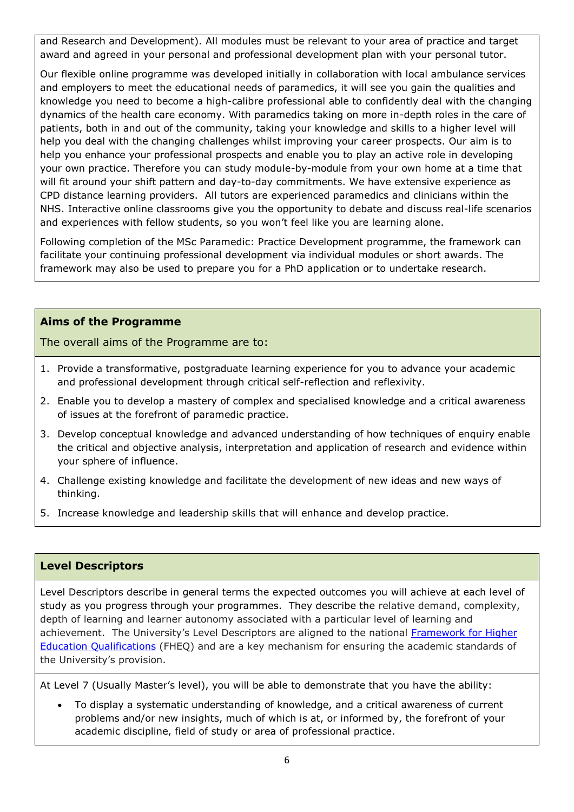and Research and Development). All modules must be relevant to your area of practice and target award and agreed in your personal and professional development plan with your personal tutor.

Our flexible online programme was developed initially in collaboration with local ambulance services and employers to meet the educational needs of paramedics, it will see you gain the qualities and knowledge you need to become a high-calibre professional able to confidently deal with the changing dynamics of the health care economy. With paramedics taking on more in-depth roles in the care of patients, both in and out of the community, taking your knowledge and skills to a higher level will help you deal with the changing challenges whilst improving your career prospects. Our aim is to help you enhance your professional prospects and enable you to play an active role in developing your own practice. Therefore you can study module-by-module from your own home at a time that will fit around your shift pattern and day-to-day commitments. We have extensive experience as CPD distance learning providers. All tutors are experienced paramedics and clinicians within the NHS. Interactive online classrooms give you the opportunity to debate and discuss real-life scenarios and experiences with fellow students, so you won't feel like you are learning alone.

Following completion of the MSc Paramedic: Practice Development programme, the framework can facilitate your continuing professional development via individual modules or short awards. The framework may also be used to prepare you for a PhD application or to undertake research.

#### **Aims of the Programme**

The overall aims of the Programme are to:

- 1. Provide a transformative, postgraduate learning experience for you to advance your academic and professional development through critical self-reflection and reflexivity.
- 2. Enable you to develop a mastery of complex and specialised knowledge and a critical awareness of issues at the forefront of paramedic practice.
- 3. Develop conceptual knowledge and advanced understanding of how techniques of enquiry enable the critical and objective analysis, interpretation and application of research and evidence within your sphere of influence.
- 4. Challenge existing knowledge and facilitate the development of new ideas and new ways of thinking.
- 5. Increase knowledge and leadership skills that will enhance and develop practice.

### **Level Descriptors**

Level Descriptors describe in general terms the expected outcomes you will achieve at each level of study as you progress through your programmes. They describe the relative demand, complexity, depth of learning and learner autonomy associated with a particular level of learning and achievement. The University's Level Descriptors are aligned to the national Framework for Higher [Education Qualifications](http://www.qaa.ac.uk/en/Publications/Documents/qualifications-frameworks.pdf) (FHEQ) and are a key mechanism for ensuring the academic standards of the University's provision.

At Level 7 (Usually Master's level), you will be able to demonstrate that you have the ability:

 To display a systematic understanding of knowledge, and a critical awareness of current problems and/or new insights, much of which is at, or informed by, the forefront of your academic discipline, field of study or area of professional practice.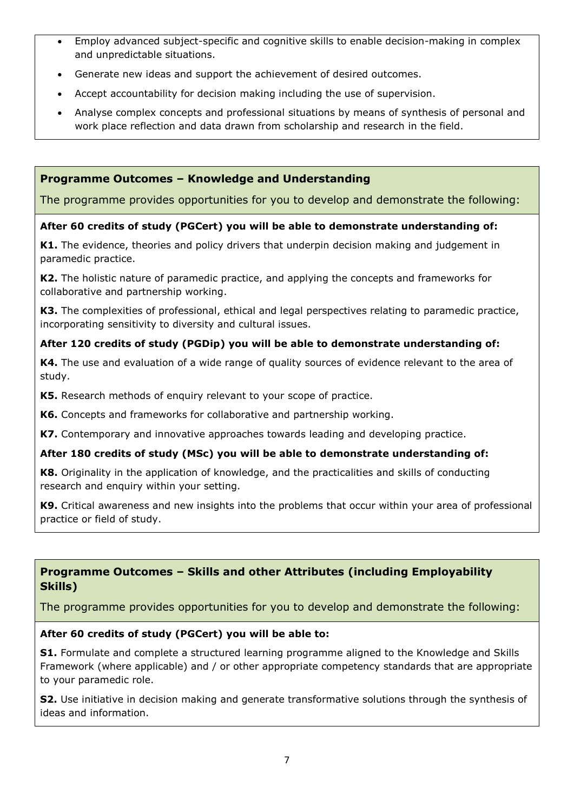- Employ advanced subject-specific and cognitive skills to enable decision-making in complex and unpredictable situations.
- Generate new ideas and support the achievement of desired outcomes.
- Accept accountability for decision making including the use of supervision.
- Analyse complex concepts and professional situations by means of synthesis of personal and work place reflection and data drawn from scholarship and research in the field.

### **Programme Outcomes – Knowledge and Understanding**

The programme provides opportunities for you to develop and demonstrate the following:

#### **After 60 credits of study (PGCert) you will be able to demonstrate understanding of:**

**K1.** The evidence, theories and policy drivers that underpin decision making and judgement in paramedic practice.

**K2.** The holistic nature of paramedic practice, and applying the concepts and frameworks for collaborative and partnership working.

**K3.** The complexities of professional, ethical and legal perspectives relating to paramedic practice, incorporating sensitivity to diversity and cultural issues.

### **After 120 credits of study (PGDip) you will be able to demonstrate understanding of:**

**K4.** The use and evaluation of a wide range of quality sources of evidence relevant to the area of study.

**K5.** Research methods of enquiry relevant to your scope of practice.

**K6.** Concepts and frameworks for collaborative and partnership working.

**K7.** Contemporary and innovative approaches towards leading and developing practice.

#### **After 180 credits of study (MSc) you will be able to demonstrate understanding of:**

**K8.** Originality in the application of knowledge, and the practicalities and skills of conducting research and enquiry within your setting.

**K9.** Critical awareness and new insights into the problems that occur within your area of professional practice or field of study.

# **Programme Outcomes – Skills and other Attributes (including Employability Skills)**

The programme provides opportunities for you to develop and demonstrate the following:

#### **After 60 credits of study (PGCert) you will be able to:**

**S1.** Formulate and complete a structured learning programme aligned to the Knowledge and Skills Framework (where applicable) and / or other appropriate competency standards that are appropriate to your paramedic role.

**S2.** Use initiative in decision making and generate transformative solutions through the synthesis of ideas and information.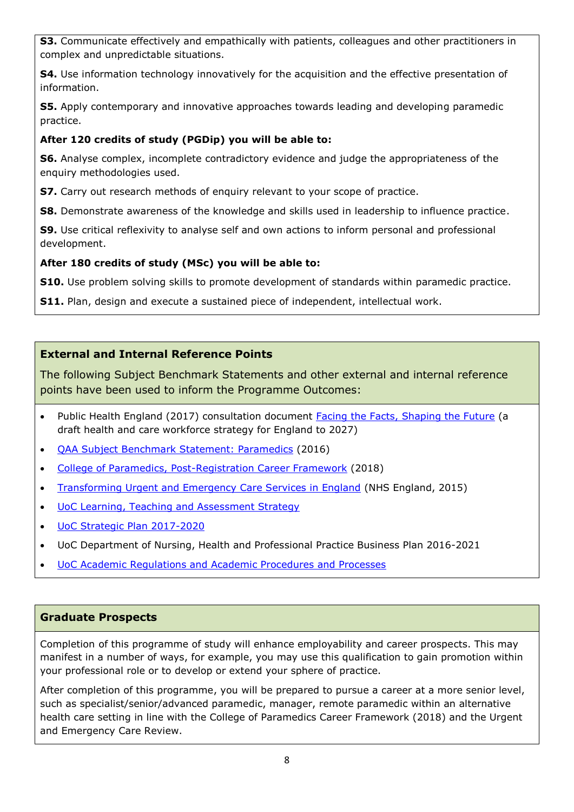**S3.** Communicate effectively and empathically with patients, colleagues and other practitioners in complex and unpredictable situations.

**S4.** Use information technology innovatively for the acquisition and the effective presentation of information.

**S5.** Apply contemporary and innovative approaches towards leading and developing paramedic practice.

# **After 120 credits of study (PGDip) you will be able to:**

**S6.** Analyse complex, incomplete contradictory evidence and judge the appropriateness of the enquiry methodologies used.

**S7.** Carry out research methods of enquiry relevant to your scope of practice.

**S8.** Demonstrate awareness of the knowledge and skills used in leadership to influence practice.

**S9.** Use critical reflexivity to analyse self and own actions to inform personal and professional development.

### **After 180 credits of study (MSc) you will be able to:**

**S10.** Use problem solving skills to promote development of standards within paramedic practice.

**S11.** Plan, design and execute a sustained piece of independent, intellectual work.

# **External and Internal Reference Points**

The following Subject Benchmark Statements and other external and internal reference points have been used to inform the Programme Outcomes:

- Public Health England (2017) consultation document [Facing the Facts, Shaping the Future](https://www.hee.nhs.uk/our-work/workforce-strategy) (a draft health and care workforce strategy for England to 2027)
- [QAA Subject Benchmark Statement: Paramedics](https://www.qaa.ac.uk/docs/qaa/subject-benchmark-statements/sbs-paramedics-16.pdf?sfvrsn=9594f781_12) (2016)
- [College of Paramedics, Post-Registration Career Framework](https://www.collegeofparamedics.co.uk/publications/post-reg-career-framework) (2018)
- [Transforming Urgent and Emergency Care Services in England](https://www.england.nhs.uk/wp-content/uploads/2015/06/trans-uec.pdf) (NHS England, 2015)
- [UoC Learning, Teaching and Assessment Strategy](https://www.cumbria.ac.uk/media/university-of-cumbria-website/content-assets/public/aqs/documents/LearningTeachingAssessmentStrategy.pdf)
- [UoC Strategic Plan 2017-2020](https://www.cumbria.ac.uk/about/publications/strategic-plan/)
- UoC Department of Nursing, Health and Professional Practice Business Plan 2016-2021
- [UoC Academic Regulations and Academic Procedures and Processes](https://www.cumbria.ac.uk/about/organisation/professional-services/academic-quality-and-development/academic-regulations/)

### **Graduate Prospects**

Completion of this programme of study will enhance employability and career prospects. This may manifest in a number of ways, for example, you may use this qualification to gain promotion within your professional role or to develop or extend your sphere of practice.

After completion of this programme, you will be prepared to pursue a career at a more senior level, such as specialist/senior/advanced paramedic, manager, remote paramedic within an alternative health care setting in line with the College of Paramedics Career Framework (2018) and the Urgent and Emergency Care Review.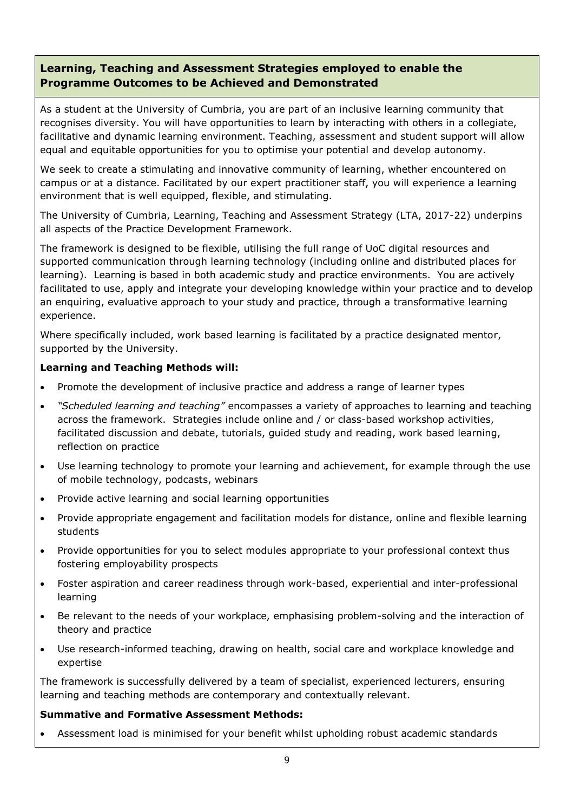# **Learning, Teaching and Assessment Strategies employed to enable the Programme Outcomes to be Achieved and Demonstrated**

As a student at the University of Cumbria, you are part of an inclusive learning community that recognises diversity. You will have opportunities to learn by interacting with others in a collegiate, facilitative and dynamic learning environment. Teaching, assessment and student support will allow equal and equitable opportunities for you to optimise your potential and develop autonomy.

We seek to create a stimulating and innovative community of learning, whether encountered on campus or at a distance. Facilitated by our expert practitioner staff, you will experience a learning environment that is well equipped, flexible, and stimulating.

The University of Cumbria, Learning, Teaching and Assessment Strategy (LTA, 2017-22) underpins all aspects of the Practice Development Framework.

The framework is designed to be flexible, utilising the full range of UoC digital resources and supported communication through learning technology (including online and distributed places for learning). Learning is based in both academic study and practice environments. You are actively facilitated to use, apply and integrate your developing knowledge within your practice and to develop an enquiring, evaluative approach to your study and practice, through a transformative learning experience.

Where specifically included, work based learning is facilitated by a practice designated mentor, supported by the University.

#### **Learning and Teaching Methods will:**

- Promote the development of inclusive practice and address a range of learner types
- *"Scheduled learning and teaching"* encompasses a variety of approaches to learning and teaching across the framework. Strategies include online and / or class-based workshop activities, facilitated discussion and debate, tutorials, guided study and reading, work based learning, reflection on practice
- Use learning technology to promote your learning and achievement, for example through the use of mobile technology, podcasts, webinars
- Provide active learning and social learning opportunities
- Provide appropriate engagement and facilitation models for distance, online and flexible learning students
- Provide opportunities for you to select modules appropriate to your professional context thus fostering employability prospects
- Foster aspiration and career readiness through work-based, experiential and inter-professional learning
- Be relevant to the needs of your workplace, emphasising problem-solving and the interaction of theory and practice
- Use research-informed teaching, drawing on health, social care and workplace knowledge and expertise

The framework is successfully delivered by a team of specialist, experienced lecturers, ensuring learning and teaching methods are contemporary and contextually relevant.

#### **Summative and Formative Assessment Methods:**

Assessment load is minimised for your benefit whilst upholding robust academic standards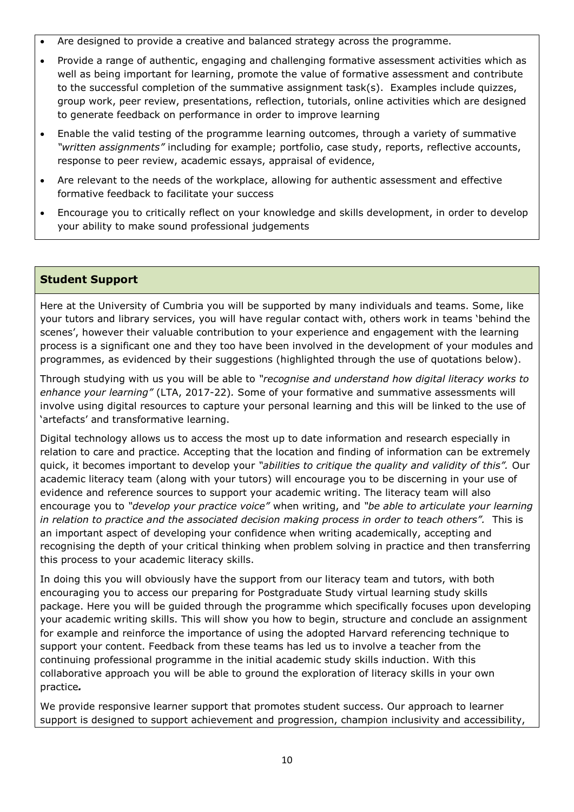- Are designed to provide a creative and balanced strategy across the programme.
- Provide a range of authentic, engaging and challenging formative assessment activities which as well as being important for learning, promote the value of formative assessment and contribute to the successful completion of the summative assignment task(s). Examples include quizzes, group work, peer review, presentations, reflection, tutorials, online activities which are designed to generate feedback on performance in order to improve learning
- Enable the valid testing of the programme learning outcomes, through a variety of summative *"written assignments"* including for example; portfolio, case study, reports, reflective accounts, response to peer review, academic essays, appraisal of evidence,
- Are relevant to the needs of the workplace, allowing for authentic assessment and effective formative feedback to facilitate your success
- Encourage you to critically reflect on your knowledge and skills development, in order to develop your ability to make sound professional judgements

### **Student Support**

Here at the University of Cumbria you will be supported by many individuals and teams. Some, like your tutors and library services, you will have regular contact with, others work in teams 'behind the scenes', however their valuable contribution to your experience and engagement with the learning process is a significant one and they too have been involved in the development of your modules and programmes, as evidenced by their suggestions (highlighted through the use of quotations below).

Through studying with us you will be able to *"recognise and understand how digital literacy works to enhance your learning"* (LTA, 2017-22)*.* Some of your formative and summative assessments will involve using digital resources to capture your personal learning and this will be linked to the use of 'artefacts' and transformative learning.

Digital technology allows us to access the most up to date information and research especially in relation to care and practice. Accepting that the location and finding of information can be extremely quick, it becomes important to develop your *"abilities to critique the quality and validity of this".* Our academic literacy team (along with your tutors) will encourage you to be discerning in your use of evidence and reference sources to support your academic writing. The literacy team will also encourage you to *"develop your practice voice"* when writing, and *"be able to articulate your learning in relation to practice and the associated decision making process in order to teach others".* This is an important aspect of developing your confidence when writing academically, accepting and recognising the depth of your critical thinking when problem solving in practice and then transferring this process to your academic literacy skills.

In doing this you will obviously have the support from our literacy team and tutors, with both encouraging you to access our preparing for Postgraduate Study virtual learning study skills package. Here you will be guided through the programme which specifically focuses upon developing your academic writing skills. This will show you how to begin, structure and conclude an assignment for example and reinforce the importance of using the adopted Harvard referencing technique to support your content. Feedback from these teams has led us to involve a teacher from the continuing professional programme in the initial academic study skills induction. With this collaborative approach you will be able to ground the exploration of literacy skills in your own practice*.*

We provide responsive learner support that promotes student success. Our approach to learner support is designed to support achievement and progression, champion inclusivity and accessibility,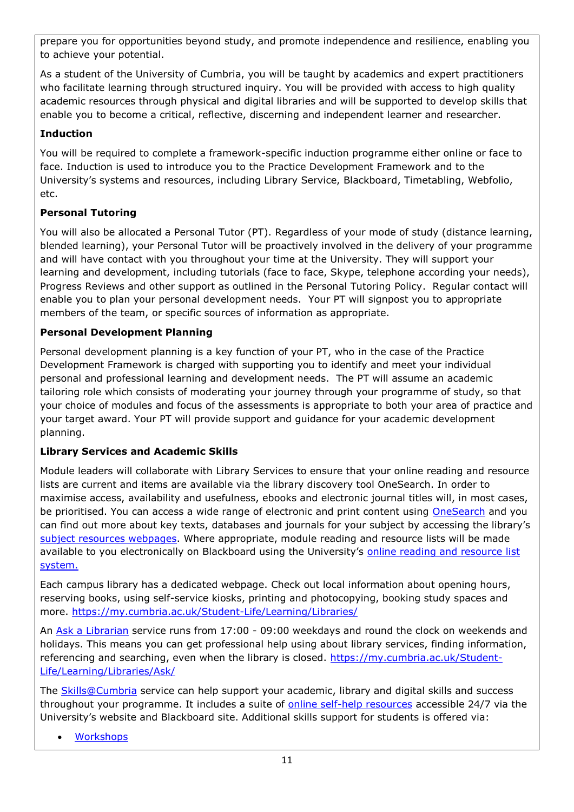prepare you for opportunities beyond study, and promote independence and resilience, enabling you to achieve your potential.

As a student of the University of Cumbria, you will be taught by academics and expert practitioners who facilitate learning through structured inquiry. You will be provided with access to high quality academic resources through physical and digital libraries and will be supported to develop skills that enable you to become a critical, reflective, discerning and independent learner and researcher.

# **Induction**

You will be required to complete a framework-specific induction programme either online or face to face. Induction is used to introduce you to the Practice Development Framework and to the University's systems and resources, including Library Service, Blackboard, Timetabling, Webfolio, etc.

# **Personal Tutoring**

You will also be allocated a Personal Tutor (PT). Regardless of your mode of study (distance learning, blended learning), your Personal Tutor will be proactively involved in the delivery of your programme and will have contact with you throughout your time at the University. They will support your learning and development, including tutorials (face to face, Skype, telephone according your needs), Progress Reviews and other support as outlined in the Personal Tutoring Policy. Regular contact will enable you to plan your personal development needs. Your PT will signpost you to appropriate members of the team, or specific sources of information as appropriate.

# **Personal Development Planning**

Personal development planning is a key function of your PT, who in the case of the Practice Development Framework is charged with supporting you to identify and meet your individual personal and professional learning and development needs. The PT will assume an academic tailoring role which consists of moderating your journey through your programme of study, so that your choice of modules and focus of the assessments is appropriate to both your area of practice and your target award. Your PT will provide support and guidance for your academic development planning.

# **Library Services and Academic Skills**

Module leaders will collaborate with Library Services to ensure that your online reading and resource lists are current and items are available via the library discovery tool OneSearch. In order to maximise access, availability and usefulness, ebooks and electronic journal titles will, in most cases, be prioritised. You can access a wide range of electronic and print content using [OneSearch](http://cumbria-primo.hosted.exlibrisgroup.com/primo_library/libweb/action/search.do?vid=44UOC_VU1) and you can find out more about key texts, databases and journals for your subject by accessing the library's [subject resources webpages.](http://my.cumbria.ac.uk/StudentLife/Learning/Resources/Subjects/Home.aspx) Where appropriate, module reading and resource lists will be made available to you electronically on Blackboard using the University's online reading and resource list [system.](https://eu.alma.exlibrisgroup.com/leganto/readinglist/lists)

Each campus library has a dedicated webpage. Check out local information about opening hours, reserving books, using self-service kiosks, printing and photocopying, booking study spaces and more.<https://my.cumbria.ac.uk/Student-Life/Learning/Libraries/>

An [Ask a Librarian](https://my.cumbria.ac.uk/Student-Life/Learning/Libraries/Ask/) service runs from 17:00 - 09:00 weekdays and round the clock on weekends and holidays. This means you can get professional help using about library services, finding information, referencing and searching, even when the library is closed. [https://my.cumbria.ac.uk/Student-](https://my.cumbria.ac.uk/Student-Life/Learning/Libraries/Ask/)[Life/Learning/Libraries/Ask/](https://my.cumbria.ac.uk/Student-Life/Learning/Libraries/Ask/)

The **Skills@Cumbria** service can help support your academic, library and digital skills and success throughout your programme. It includes a suite of [online self-help resources](https://my.cumbria.ac.uk/Student-Life/Learning/Skills-Cumbria/) accessible 24/7 via the University's website and Blackboard site. Additional skills support for students is offered via:

• [Workshops](https://my.cumbria.ac.uk/Student-Life/Learning/Skills-Cumbria/Need-more-help/)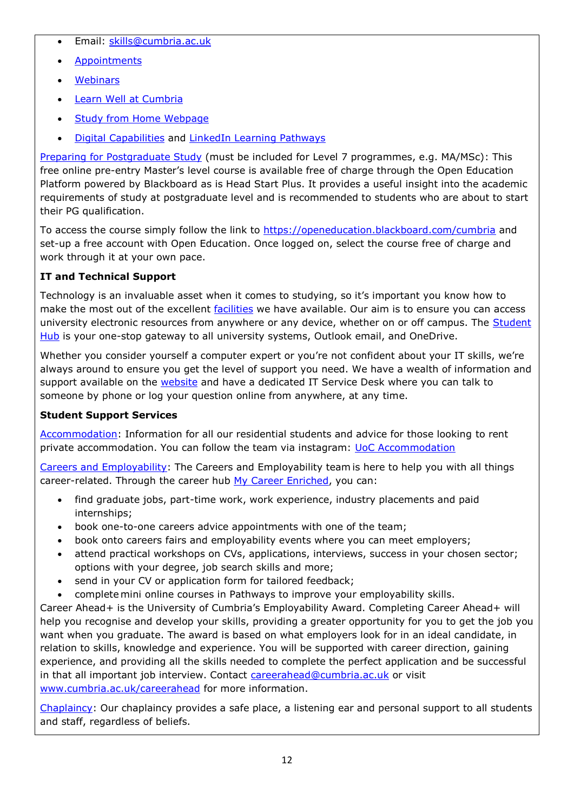- Email: [skills@cumbria.ac.uk](mailto:skills@cumbria.ac.uk)
- [Appointments](https://my.cumbria.ac.uk/Student-Life/Learning/Skills-Cumbria/Need-more-help/)
- [Webinars](https://my.cumbria.ac.uk/Student-Life/Learning/Skills-Cumbria/Need-more-help/)
- [Learn Well at Cumbria](https://my.cumbria.ac.uk/Student-Life/Learning/Skills-Cumbria/Learn-Well-at-Cumbria/)
- [Study from Home Webpage](https://my.cumbria.ac.uk/Student-Life/Learning/Resources/Studying-from-home/)
- [Digital Capabilities](https://my.cumbria.ac.uk/Digital-Capability/) and [LinkedIn Learning Pathways](https://my.cumbria.ac.uk/Student-Life/Learning/Linkedin-Learning/Digital-Capabilities-Pathways/)

[Preparing for Postgraduate Study](https://my.cumbria.ac.uk/Student-Life/Learning/Resources/Blackboard-Open-Education/) (must be included for Level 7 programmes, e.g. MA/MSc): This free online pre-entry Master's level course is available free of charge through the Open Education Platform powered by Blackboard as is Head Start Plus. It provides a useful insight into the academic requirements of study at postgraduate level and is recommended to students who are about to start their PG qualification.

To access the course simply follow the link to<https://openeducation.blackboard.com/cumbria> and set-up a free account with Open Education. Once logged on, select the course free of charge and work through it at your own pace.

# **IT and Technical Support**

Technology is an invaluable asset when it comes to studying, so it's important you know how to make the most out of the excellent [facilities](https://www.cumbria.ac.uk/student-life/facilities/it-facilities/) we have available. Our aim is to ensure you can access university electronic resources from anywhere or any device, whether on or off campus. The **Student** [Hub](https://universityofcumbria.mydaycloud.com/dashboard/allsorts) is your one-stop gateway to all university systems, Outlook email, and OneDrive.

Whether you consider yourself a computer expert or you're not confident about your IT skills, we're always around to ensure you get the level of support you need. We have a wealth of information and support available on the [website](https://my.cumbria.ac.uk/Student-Life/it-media/) and have a dedicated IT Service Desk where you can talk to someone by phone or log your question online from anywhere, at any time.

# **Student Support Services**

[Accommodation:](https://www.cumbria.ac.uk/student-life/accommodation/) Information for all our residential students and advice for those looking to rent private accommodation. You can follow the team via instagram: [UoC Accommodation](https://my.cumbria.ac.uk/Student-Life/careers/Current-Students/)

[Careers and Employability](https://my.cumbria.ac.uk/Student-Life/careers/): The Careers and Employability team is here to help you with all things career-related. Through the career hub [My Career Enriched,](https://mycareerenriched.cumbria.ac.uk/student/home.html) you can:

- find graduate jobs, part-time work, work experience, industry placements and paid internships;
- book one-to-one careers advice appointments with one of the team;
- book onto careers fairs and employability events where you can meet employers;
- attend practical workshops on CVs, applications, interviews, success in your chosen sector; options with your degree, job search skills and more;
- send in your CV or application form for tailored feedback;
- complete mini online courses in Pathways to improve your employability skills.

Career Ahead+ is the University of Cumbria's Employability Award. Completing Career Ahead+ will help you recognise and develop your skills, providing a greater opportunity for you to get the job you want when you graduate. The award is based on what employers look for in an ideal candidate, in relation to skills, knowledge and experience. You will be supported with career direction, gaining experience, and providing all the skills needed to complete the perfect application and be successful in that all important job interview. Contact [careerahead@cumbria.ac.uk](mailto:careerahead@cumbria.ac.uk) or visit [www.cumbria.ac.uk/careerahead](http://www.cumbria.ac.uk/careerahead) for more information.

[Chaplaincy:](https://www.cumbria.ac.uk/student-life/student-support/chaplaincy/) Our chaplaincy provides a safe place, a listening ear and personal support to all students and staff, regardless of beliefs.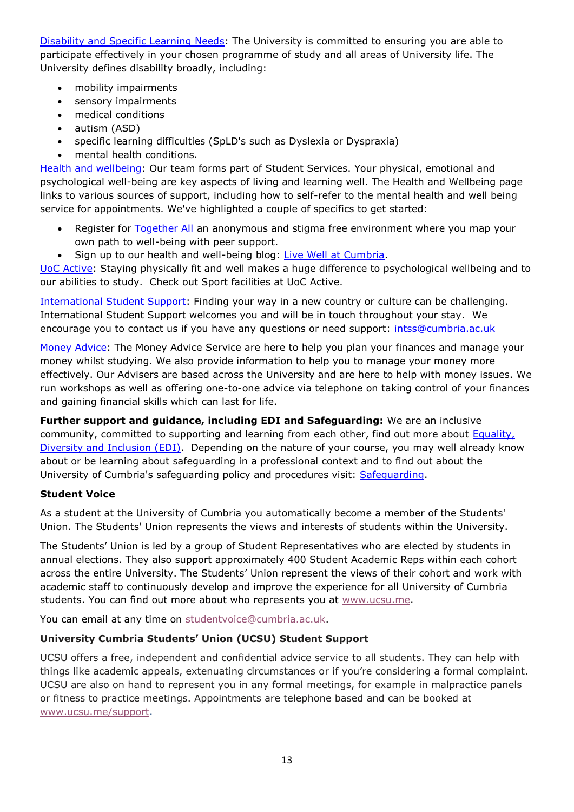[Disability and Specific Learning Needs:](https://my.cumbria.ac.uk/Student-Life/Support/Disability/) The University is committed to ensuring you are able to participate effectively in your chosen programme of study and all areas of University life. The University defines disability broadly, including:

- mobility impairments
- sensory impairments
- medical conditions
- autism (ASD)
- specific learning difficulties (SpLD's such as Dyslexia or Dyspraxia)
- mental health conditions.

[Health and wellbeing:](https://my.cumbria.ac.uk/Student-Life/Health-and-Wellbeing/) Our team forms part of Student Services. Your physical, emotional and psychological well-being are key aspects of living and learning well. The Health and Wellbeing page links to various sources of support, including how to self-refer to the mental health and well being service for appointments. We've highlighted a couple of specifics to get started:

- Register for [Together All](https://my.cumbria.ac.uk/Student-Life/Health-and-Wellbeing/Big-White-Wall/) an anonymous and stigma free environment where you map your own path to well-being with peer support.
- Sign up to our health and well-being blog: [Live Well at](https://livewellcumbriaunihome.wordpress.com/) Cumbria.

[UoC Active:](https://www.cumbria.ac.uk/student-life/facilities/sports/) Staying physically fit and well makes a huge difference to psychological wellbeing and to our abilities to study. Check out Sport facilities at UoC Active.

[International Student Support:](https://www.cumbria.ac.uk/study/international-students/) Finding your way in a new country or culture can be challenging. International Student Support welcomes you and will be in touch throughout your stay. We encourage you to contact us if you have any questions or need support: [intss@cumbria.ac.uk](mailto:intss@cumbria.ac.uk)

[Money Advice:](https://my.cumbria.ac.uk/Student-Life/Money--Finance/Money-Doctors/) The Money Advice Service are here to help you plan your finances and manage your money whilst studying. We also provide information to help you to manage your money more effectively. Our Advisers are based across the University and are here to help with money issues. We run workshops as well as offering one-to-one advice via telephone on taking control of your finances and gaining financial skills which can last for life.

**Further support and guidance, including EDI and Safeguarding:** We are an inclusive community, committed to supporting and learning from each other, find out more about **Equality**, [Diversity and Inclusion \(EDI\).](https://www.cumbria.ac.uk/about/equality-diversity-and-inclusion/) Depending on the nature of your course, you may well already know about or be learning about safeguarding in a professional context and to find out about the University of Cumbria's safeguarding policy and procedures visit: [Safeguarding.](https://my.cumbria.ac.uk/Student-Life/Health-and-Wellbeing/Safeguarding/)

# **Student Voice**

As a student at the University of Cumbria you automatically become a member of the Students' Union. The Students' Union represents the views and interests of students within the University.

The Students' Union is led by a group of Student Representatives who are elected by students in annual elections. They also support approximately 400 Student Academic Reps within each cohort across the entire University. The Students' Union represent the views of their cohort and work with academic staff to continuously develop and improve the experience for all University of Cumbria students. You can find out more about who represents you at [www.ucsu.me.](https://eur03.safelinks.protection.outlook.com/?url=http%3A%2F%2Fwww.ucsu.me%2F&data=01%7C01%7Calice.helm-alabaster%40cumbria.ac.uk%7C6f2148044d5b440a812f08d85fdaa95f%7Cb627db1d99584fd18ea48ac3b27cf00f%7C0&sdata=2TIr5uuU03XI6fpVrQqHeDUSuUkWECNvQ3UldWmClyg%3D&reserved=0)

You can email at any time on [studentvoice@cumbria.ac.uk.](mailto:studentvoice@cumbria.ac.uk)

### **University Cumbria Students' Union (UCSU) Student Support**

UCSU offers a free, independent and confidential advice service to all students. They can help with things like academic appeals, extenuating circumstances or if you're considering a formal complaint. UCSU are also on hand to represent you in any formal meetings, for example in malpractice panels or fitness to practice meetings. Appointments are telephone based and can be booked at [www.ucsu.me/support.](https://eur03.safelinks.protection.outlook.com/?url=http%3A%2F%2Fwww.ucsu.me%2Fsupport&data=01%7C01%7Calice.helm-alabaster%40cumbria.ac.uk%7C6f2148044d5b440a812f08d85fdaa95f%7Cb627db1d99584fd18ea48ac3b27cf00f%7C0&sdata=QO0AnE5mLJVI%2BvxaFzasbJsexArbF2oWRbpNi9IBt4E%3D&reserved=0)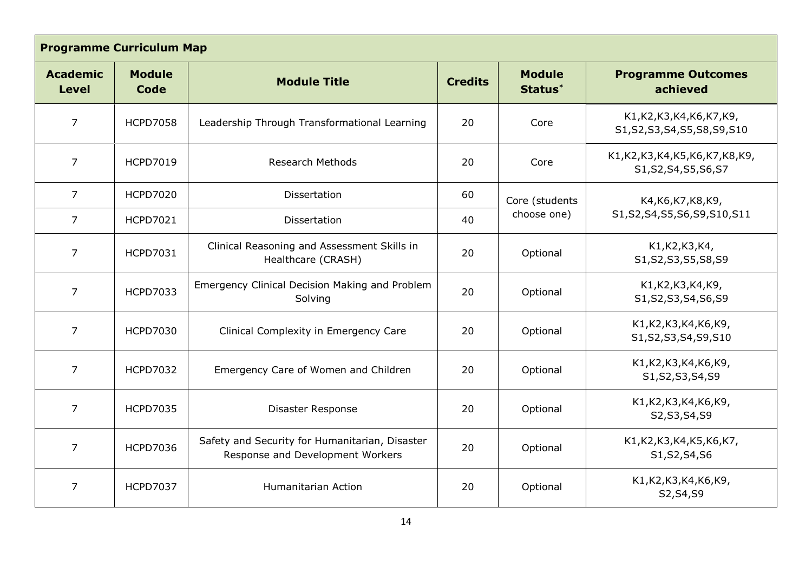|                                                                                 | <b>Programme Curriculum Map</b>                                                                        |                                                                                    |                                           |                                                       |                                                                |  |
|---------------------------------------------------------------------------------|--------------------------------------------------------------------------------------------------------|------------------------------------------------------------------------------------|-------------------------------------------|-------------------------------------------------------|----------------------------------------------------------------|--|
| <b>Module</b><br><b>Academic</b><br><b>Module Title</b><br><b>Level</b><br>Code |                                                                                                        | <b>Credits</b>                                                                     | <b>Module</b><br>Status*                  | <b>Programme Outcomes</b><br>achieved                 |                                                                |  |
| $\overline{7}$                                                                  | <b>HCPD7058</b>                                                                                        | Leadership Through Transformational Learning                                       | 20                                        | Core                                                  | K1, K2, K3, K4, K6, K7, K9,<br>S1, S2, S3, S4, S5, S8, S9, S10 |  |
| $\overline{7}$<br><b>HCPD7019</b><br><b>Research Methods</b>                    |                                                                                                        | 20                                                                                 | Core                                      | K1,K2,K3,K4,K5,K6,K7,K8,K9,<br>S1, S2, S4, S5, S6, S7 |                                                                |  |
| $\overline{7}$                                                                  | <b>HCPD7020</b><br>Dissertation                                                                        |                                                                                    | 60                                        | Core (students                                        | K4, K6, K7, K8, K9,                                            |  |
| $\overline{7}$                                                                  | <b>HCPD7021</b>                                                                                        | Dissertation                                                                       | choose one)<br>40                         |                                                       | S1, S2, S4, S5, S6, S9, S10, S11                               |  |
| $\overline{7}$                                                                  | Clinical Reasoning and Assessment Skills in<br><b>HCPD7031</b><br>20<br>Optional<br>Healthcare (CRASH) |                                                                                    | K1, K2, K3, K4,<br>S1, S2, S3, S5, S8, S9 |                                                       |                                                                |  |
| $\overline{7}$                                                                  | Emergency Clinical Decision Making and Problem<br><b>HCPD7033</b><br>Solving                           |                                                                                    | 20                                        | Optional                                              | K1, K2, K3, K4, K9,<br>S1, S2, S3, S4, S6, S9                  |  |
| $\overline{7}$<br><b>HCPD7030</b><br>Clinical Complexity in Emergency Care      |                                                                                                        | 20                                                                                 | Optional                                  | K1, K2, K3, K4, K6, K9,<br>S1, S2, S3, S4, S9, S10    |                                                                |  |
| $\overline{7}$<br><b>HCPD7032</b><br>Emergency Care of Women and Children       |                                                                                                        | 20                                                                                 | Optional                                  | K1, K2, K3, K4, K6, K9,<br>S1, S2, S3, S4, S9         |                                                                |  |
| <b>HCPD7035</b><br>7<br>Disaster Response                                       |                                                                                                        | 20                                                                                 | Optional                                  | K1, K2, K3, K4, K6, K9,<br>S2, S3, S4, S9             |                                                                |  |
| $\overline{7}$                                                                  | <b>HCPD7036</b>                                                                                        | Safety and Security for Humanitarian, Disaster<br>Response and Development Workers | 20                                        | Optional                                              | K1, K2, K3, K4, K5, K6, K7,<br>S1, S2, S4, S6                  |  |
| $\overline{7}$                                                                  | <b>HCPD7037</b>                                                                                        | Humanitarian Action                                                                | 20                                        | Optional                                              | K1, K2, K3, K4, K6, K9,<br>S2, S4, S9                          |  |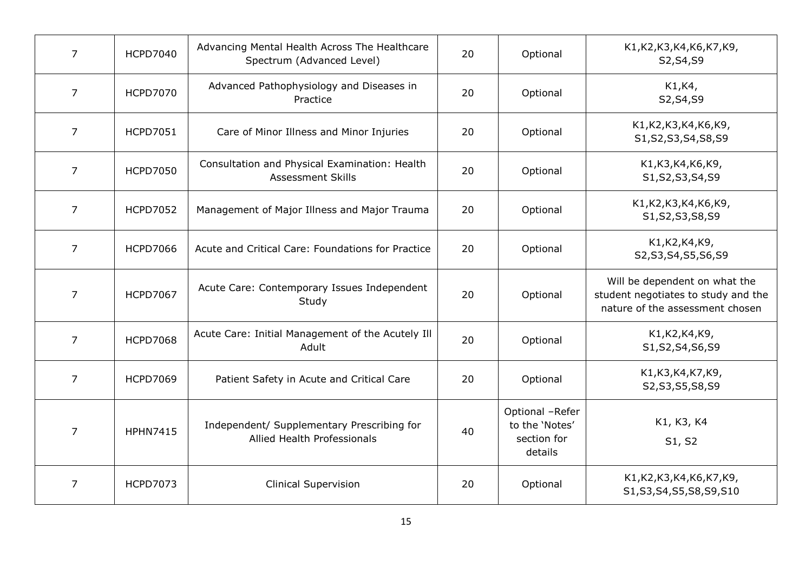| 7              | <b>HCPD7040</b> | Advancing Mental Health Across The Healthcare<br>Spectrum (Advanced Level) | 20 | Optional                                                    | K1, K2, K3, K4, K6, K7, K9,<br>S2, S4, S9                                                               |
|----------------|-----------------|----------------------------------------------------------------------------|----|-------------------------------------------------------------|---------------------------------------------------------------------------------------------------------|
| $\overline{7}$ | <b>HCPD7070</b> | Advanced Pathophysiology and Diseases in<br>Practice                       | 20 | Optional                                                    | K1, K4,<br>S2, S4, S9                                                                                   |
| $\overline{7}$ | <b>HCPD7051</b> | Care of Minor Illness and Minor Injuries                                   | 20 | Optional                                                    | K1, K2, K3, K4, K6, K9,<br>S1, S2, S3, S4, S8, S9                                                       |
| $\overline{7}$ | <b>HCPD7050</b> | Consultation and Physical Examination: Health<br><b>Assessment Skills</b>  | 20 | Optional                                                    | K1, K3, K4, K6, K9,<br>S1, S2, S3, S4, S9                                                               |
| 7              | <b>HCPD7052</b> | Management of Major Illness and Major Trauma                               | 20 | Optional                                                    | K1, K2, K3, K4, K6, K9,<br>S1, S2, S3, S8, S9                                                           |
| $\overline{7}$ | <b>HCPD7066</b> | Acute and Critical Care: Foundations for Practice                          | 20 | Optional                                                    | K1, K2, K4, K9,<br>S2, S3, S4, S5, S6, S9                                                               |
| $\overline{7}$ | <b>HCPD7067</b> | Acute Care: Contemporary Issues Independent<br>Study                       | 20 | Optional                                                    | Will be dependent on what the<br>student negotiates to study and the<br>nature of the assessment chosen |
| $\overline{7}$ | <b>HCPD7068</b> | Acute Care: Initial Management of the Acutely Ill<br>Adult                 | 20 | Optional                                                    | K1, K2, K4, K9,<br>S1, S2, S4, S6, S9                                                                   |
| $\overline{7}$ | <b>HCPD7069</b> | Patient Safety in Acute and Critical Care                                  | 20 | Optional                                                    | K1, K3, K4, K7, K9,<br>S2, S3, S5, S8, S9                                                               |
| $\overline{7}$ | <b>HPHN7415</b> | Independent/ Supplementary Prescribing for<br>Allied Health Professionals  | 40 | Optional -Refer<br>to the 'Notes'<br>section for<br>details | K1, K3, K4<br>S1, S2                                                                                    |
| 7              | <b>HCPD7073</b> | <b>Clinical Supervision</b>                                                | 20 | Optional                                                    | K1, K2, K3, K4, K6, K7, K9,<br>S1, S3, S4, S5, S8, S9, S10                                              |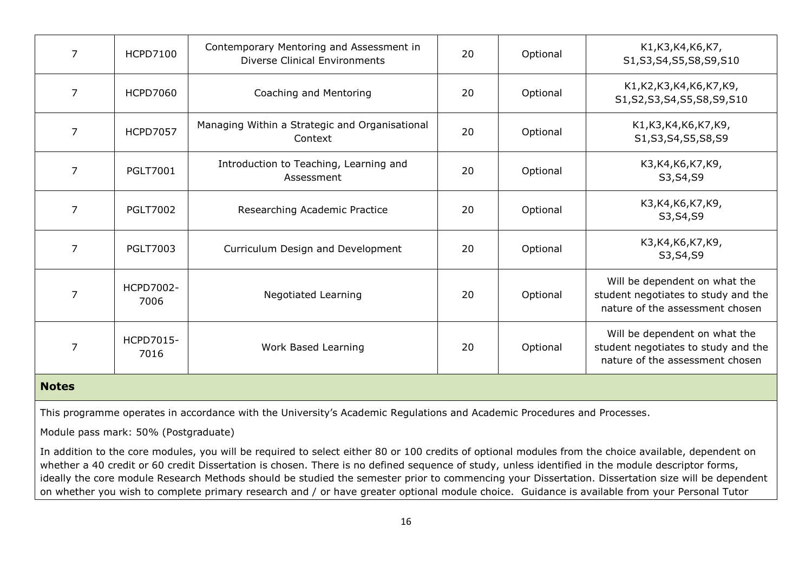| 7              | <b>HCPD7100</b>   | Contemporary Mentoring and Assessment in<br><b>Diverse Clinical Environments</b> | 20 | Optional | K1, K3, K4, K6, K7,<br>S1, S3, S4, S5, S8, S9, S10                                                      |
|----------------|-------------------|----------------------------------------------------------------------------------|----|----------|---------------------------------------------------------------------------------------------------------|
| 7              | <b>HCPD7060</b>   | Coaching and Mentoring                                                           | 20 | Optional | K1, K2, K3, K4, K6, K7, K9,<br>S1, S2, S3, S4, S5, S8, S9, S10                                          |
| $\overline{7}$ | <b>HCPD7057</b>   | Managing Within a Strategic and Organisational<br>Context                        | 20 | Optional | K1, K3, K4, K6, K7, K9,<br>S1, S3, S4, S5, S8, S9                                                       |
| 7              | <b>PGLT7001</b>   | Introduction to Teaching, Learning and<br>Assessment                             | 20 | Optional | K3, K4, K6, K7, K9,<br>S3, S4, S9                                                                       |
| $\overline{7}$ | <b>PGLT7002</b>   | Researching Academic Practice                                                    | 20 | Optional | K3,K4,K6,K7,K9,<br>S3, S4, S9                                                                           |
| $\overline{7}$ | <b>PGLT7003</b>   | Curriculum Design and Development                                                | 20 | Optional | K3, K4, K6, K7, K9,<br>S3, S4, S9                                                                       |
| 7              | HCPD7002-<br>7006 | <b>Negotiated Learning</b>                                                       | 20 | Optional | Will be dependent on what the<br>student negotiates to study and the<br>nature of the assessment chosen |
| 7              | HCPD7015-<br>7016 | Work Based Learning                                                              | 20 | Optional | Will be dependent on what the<br>student negotiates to study and the<br>nature of the assessment chosen |
| <b>Notes</b>   |                   |                                                                                  |    |          |                                                                                                         |

This programme operates in accordance with the University's Academic Regulations and Academic Procedures and Processes.

Module pass mark: 50% (Postgraduate)

In addition to the core modules, you will be required to select either 80 or 100 credits of optional modules from the choice available, dependent on whether a 40 credit or 60 credit Dissertation is chosen. There is no defined sequence of study, unless identified in the module descriptor forms, ideally the core module Research Methods should be studied the semester prior to commencing your Dissertation. Dissertation size will be dependent on whether you wish to complete primary research and / or have greater optional module choice. Guidance is available from your Personal Tutor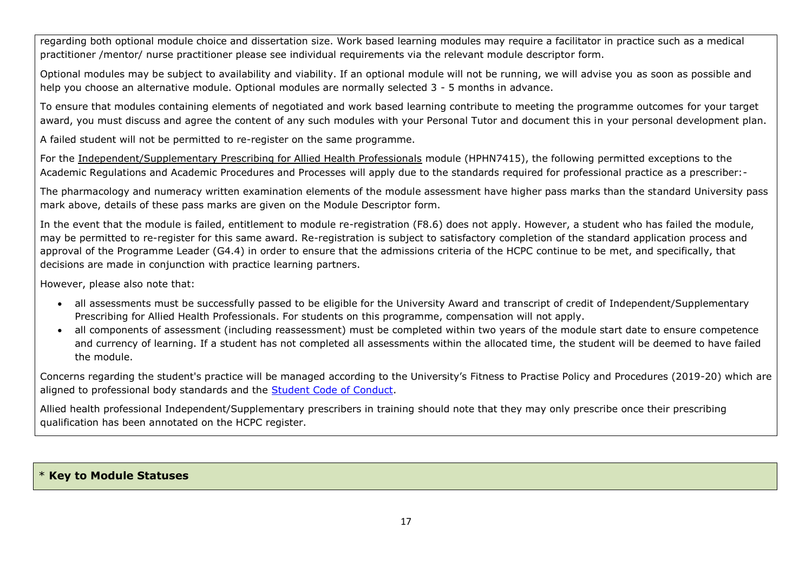regarding both optional module choice and dissertation size. Work based learning modules may require a facilitator in practice such as a medical practitioner /mentor/ nurse practitioner please see individual requirements via the relevant module descriptor form.

Optional modules may be subject to availability and viability. If an optional module will not be running, we will advise you as soon as possible and help you choose an alternative module. Optional modules are normally selected 3 - 5 months in advance.

To ensure that modules containing elements of negotiated and work based learning contribute to meeting the programme outcomes for your target award, you must discuss and agree the content of any such modules with your Personal Tutor and document this in your personal development plan.

A failed student will not be permitted to re-register on the same programme.

For the Independent/Supplementary Prescribing for Allied Health Professionals module (HPHN7415), the following permitted exceptions to the Academic Regulations and Academic Procedures and Processes will apply due to the standards required for professional practice as a prescriber:-

The pharmacology and numeracy written examination elements of the module assessment have higher pass marks than the standard University pass mark above, details of these pass marks are given on the Module Descriptor form.

In the event that the module is failed, entitlement to module re-registration (F8.6) does not apply. However, a student who has failed the module, may be permitted to re-register for this same award. Re-registration is subject to satisfactory completion of the standard application process and approval of the Programme Leader (G4.4) in order to ensure that the admissions criteria of the HCPC continue to be met, and specifically, that decisions are made in conjunction with practice learning partners.

However, please also note that:

- all assessments must be successfully passed to be eligible for the University Award and transcript of credit of Independent/Supplementary Prescribing for Allied Health Professionals. For students on this programme, compensation will not apply.
- all components of assessment (including reassessment) must be completed within two years of the module start date to ensure competence and currency of learning. If a student has not completed all assessments within the allocated time, the student will be deemed to have failed the module.

Concerns regarding the student's practice will be managed according to the University's Fitness to Practise Policy and Procedures (2019-20) which are aligned to professional body standards and the [Student Code of Conduct.](https://my.cumbria.ac.uk/Student-Life/Support/Responding-to-your-concerns/Student-Code-of-Conduct/)

Allied health professional Independent/Supplementary prescribers in training should note that they may only prescribe once their prescribing qualification has been annotated on the HCPC register.

#### \* **Key to Module Statuses**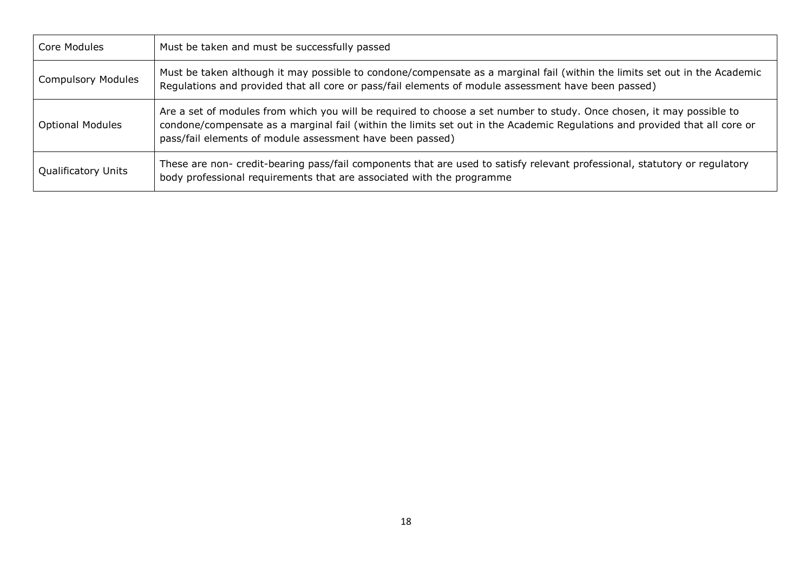| Core Modules               | Must be taken and must be successfully passed                                                                                                                                                                                                                                                                    |
|----------------------------|------------------------------------------------------------------------------------------------------------------------------------------------------------------------------------------------------------------------------------------------------------------------------------------------------------------|
| <b>Compulsory Modules</b>  | Must be taken although it may possible to condone/compensate as a marginal fail (within the limits set out in the Academic<br>Regulations and provided that all core or pass/fail elements of module assessment have been passed)                                                                                |
| <b>Optional Modules</b>    | Are a set of modules from which you will be required to choose a set number to study. Once chosen, it may possible to<br>condone/compensate as a marginal fail (within the limits set out in the Academic Regulations and provided that all core or<br>pass/fail elements of module assessment have been passed) |
| <b>Qualificatory Units</b> | These are non- credit-bearing pass/fail components that are used to satisfy relevant professional, statutory or regulatory<br>body professional requirements that are associated with the programme                                                                                                              |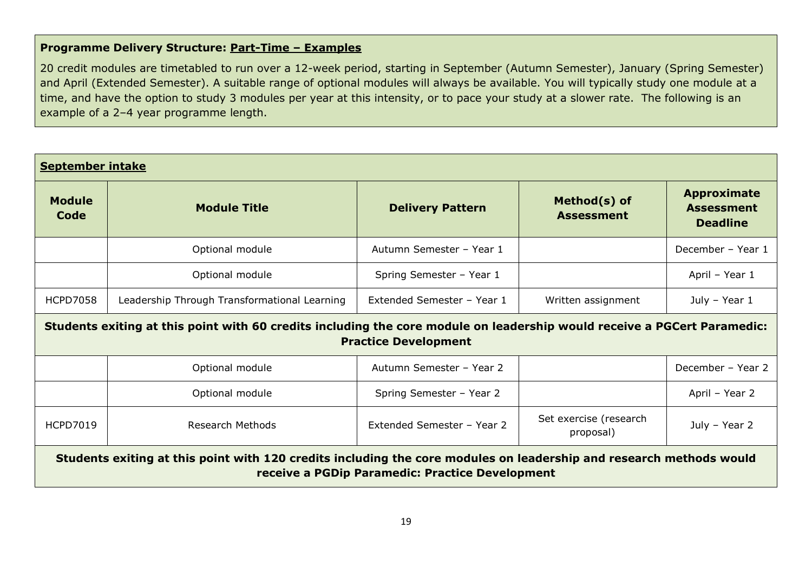# **Programme Delivery Structure: Part-Time – Examples**

20 credit modules are timetabled to run over a 12-week period, starting in September (Autumn Semester), January (Spring Semester) and April (Extended Semester). A suitable range of optional modules will always be available. You will typically study one module at a time, and have the option to study 3 modules per year at this intensity, or to pace your study at a slower rate. The following is an example of a 2–4 year programme length.

| <b>September intake</b>                                                                                                                                                |                                                                                                                                                         |                            |                                     |                                                            |  |
|------------------------------------------------------------------------------------------------------------------------------------------------------------------------|---------------------------------------------------------------------------------------------------------------------------------------------------------|----------------------------|-------------------------------------|------------------------------------------------------------|--|
| <b>Module</b><br>Code                                                                                                                                                  | <b>Module Title</b>                                                                                                                                     | <b>Delivery Pattern</b>    | Method(s) of<br><b>Assessment</b>   | <b>Approximate</b><br><b>Assessment</b><br><b>Deadline</b> |  |
|                                                                                                                                                                        | Optional module                                                                                                                                         | Autumn Semester - Year 1   |                                     | December - Year 1                                          |  |
|                                                                                                                                                                        | Optional module                                                                                                                                         | Spring Semester - Year 1   |                                     | April - Year 1                                             |  |
| <b>HCPD7058</b>                                                                                                                                                        | Leadership Through Transformational Learning                                                                                                            | Extended Semester - Year 1 | Written assignment                  | July - Year 1                                              |  |
|                                                                                                                                                                        | Students exiting at this point with 60 credits including the core module on leadership would receive a PGCert Paramedic:<br><b>Practice Development</b> |                            |                                     |                                                            |  |
|                                                                                                                                                                        | Optional module                                                                                                                                         | Autumn Semester - Year 2   |                                     | December - Year 2                                          |  |
|                                                                                                                                                                        | Optional module                                                                                                                                         | Spring Semester - Year 2   |                                     | April - Year 2                                             |  |
| <b>HCPD7019</b>                                                                                                                                                        | <b>Research Methods</b>                                                                                                                                 | Extended Semester - Year 2 | Set exercise (research<br>proposal) | July - Year 2                                              |  |
| Students exiting at this point with 120 credits including the core modules on leadership and research methods would<br>receive a PGDip Paramedic: Practice Development |                                                                                                                                                         |                            |                                     |                                                            |  |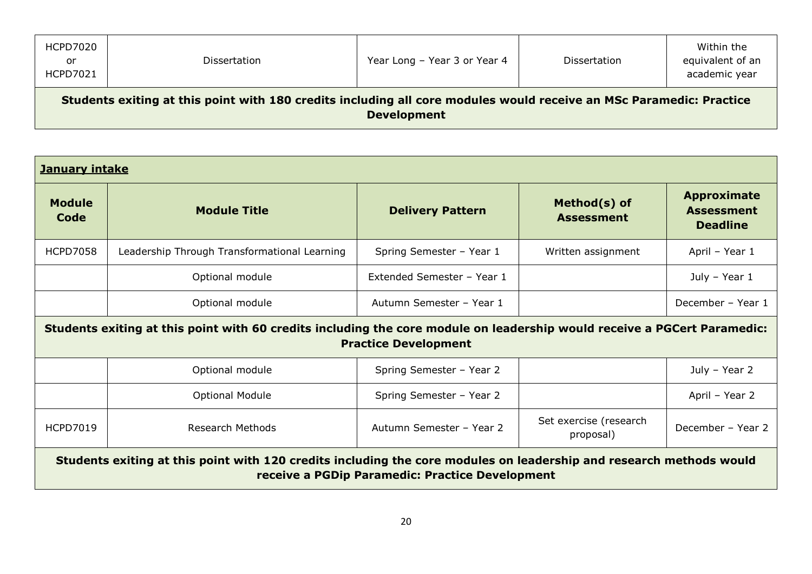| <b>HCPD7020</b><br>or<br>HCPD7021                                                                                                         | Dissertation | Year Long - Year 3 or Year 4 | Dissertation | Within the<br>equivalent of an<br>academic year |
|-------------------------------------------------------------------------------------------------------------------------------------------|--------------|------------------------------|--------------|-------------------------------------------------|
| Students exiting at this point with 180 credits including all core modules would receive an MSc Paramedic: Practice<br><b>Development</b> |              |                              |              |                                                 |

| <b>January intake</b>                                                                                                                                                  |                                                                                                                                                         |                            |                                     |                                                            |  |  |
|------------------------------------------------------------------------------------------------------------------------------------------------------------------------|---------------------------------------------------------------------------------------------------------------------------------------------------------|----------------------------|-------------------------------------|------------------------------------------------------------|--|--|
| <b>Module</b><br>Code                                                                                                                                                  | <b>Module Title</b>                                                                                                                                     | <b>Delivery Pattern</b>    | Method(s) of<br><b>Assessment</b>   | <b>Approximate</b><br><b>Assessment</b><br><b>Deadline</b> |  |  |
| <b>HCPD7058</b>                                                                                                                                                        | Leadership Through Transformational Learning                                                                                                            | Spring Semester - Year 1   | Written assignment                  | April - Year 1                                             |  |  |
|                                                                                                                                                                        | Optional module                                                                                                                                         | Extended Semester - Year 1 |                                     | July - Year 1                                              |  |  |
|                                                                                                                                                                        | Optional module                                                                                                                                         | Autumn Semester - Year 1   |                                     | December - Year 1                                          |  |  |
|                                                                                                                                                                        | Students exiting at this point with 60 credits including the core module on leadership would receive a PGCert Paramedic:<br><b>Practice Development</b> |                            |                                     |                                                            |  |  |
|                                                                                                                                                                        | Optional module                                                                                                                                         | Spring Semester - Year 2   |                                     | July - Year 2                                              |  |  |
|                                                                                                                                                                        | <b>Optional Module</b>                                                                                                                                  | Spring Semester - Year 2   |                                     | April - Year 2                                             |  |  |
| <b>HCPD7019</b>                                                                                                                                                        | Research Methods                                                                                                                                        | Autumn Semester - Year 2   | Set exercise (research<br>proposal) | December - Year 2                                          |  |  |
| Students exiting at this point with 120 credits including the core modules on leadership and research methods would<br>receive a PGDip Paramedic: Practice Development |                                                                                                                                                         |                            |                                     |                                                            |  |  |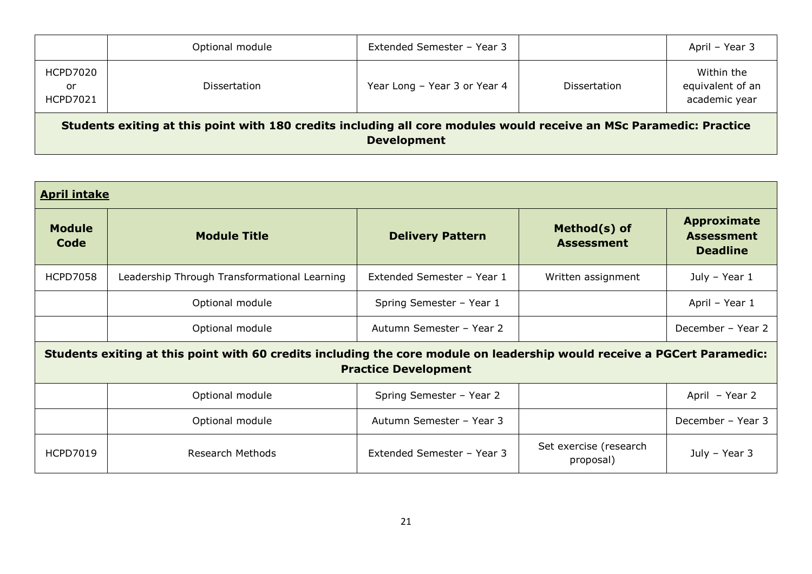|                                                                                                                                           | Optional module     | Extended Semester - Year 3   |                     | April – Year 3                                  |  |
|-------------------------------------------------------------------------------------------------------------------------------------------|---------------------|------------------------------|---------------------|-------------------------------------------------|--|
| <b>HCPD7020</b><br>or<br><b>HCPD7021</b>                                                                                                  | <b>Dissertation</b> | Year Long - Year 3 or Year 4 | <b>Dissertation</b> | Within the<br>equivalent of an<br>academic year |  |
| Students exiting at this point with 180 credits including all core modules would receive an MSc Paramedic: Practice<br><b>Development</b> |                     |                              |                     |                                                 |  |

| <b>April intake</b>   |                                                                                                                                                         |                            |                                     |                                                            |  |  |
|-----------------------|---------------------------------------------------------------------------------------------------------------------------------------------------------|----------------------------|-------------------------------------|------------------------------------------------------------|--|--|
| <b>Module</b><br>Code | <b>Module Title</b>                                                                                                                                     | <b>Delivery Pattern</b>    | Method(s) of<br><b>Assessment</b>   | <b>Approximate</b><br><b>Assessment</b><br><b>Deadline</b> |  |  |
| <b>HCPD7058</b>       | Leadership Through Transformational Learning                                                                                                            | Extended Semester - Year 1 | Written assignment                  | July - Year 1                                              |  |  |
|                       | Optional module                                                                                                                                         | Spring Semester - Year 1   |                                     | April - Year 1                                             |  |  |
|                       | Optional module                                                                                                                                         | Autumn Semester - Year 2   |                                     | December - Year 2                                          |  |  |
|                       | Students exiting at this point with 60 credits including the core module on leadership would receive a PGCert Paramedic:<br><b>Practice Development</b> |                            |                                     |                                                            |  |  |
|                       | Optional module                                                                                                                                         | Spring Semester - Year 2   |                                     | April - Year 2                                             |  |  |
|                       | Optional module                                                                                                                                         | Autumn Semester - Year 3   |                                     | December - Year 3                                          |  |  |
| <b>HCPD7019</b>       | Research Methods                                                                                                                                        | Extended Semester - Year 3 | Set exercise (research<br>proposal) | July - Year 3                                              |  |  |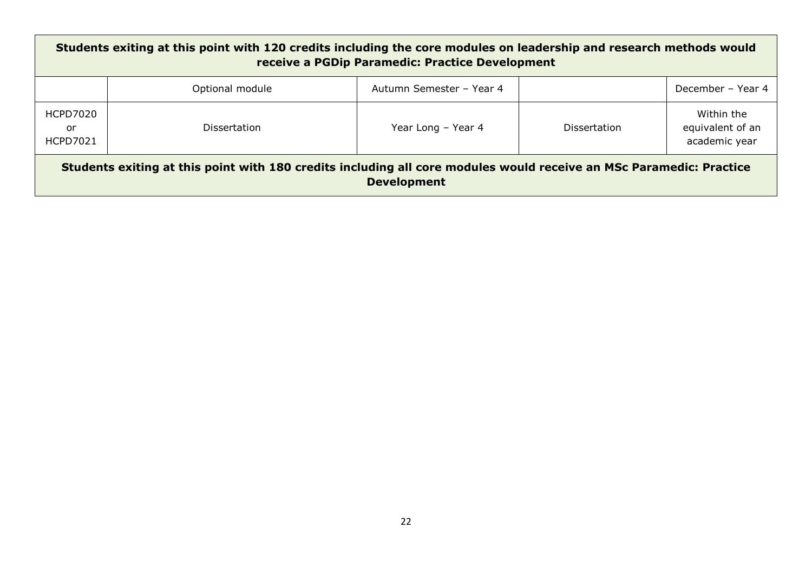| Students exiting at this point with 120 credits including the core modules on leadership and research methods would<br>receive a PGDip Paramedic: Practice Development |                     |                          |                     |                                                 |
|------------------------------------------------------------------------------------------------------------------------------------------------------------------------|---------------------|--------------------------|---------------------|-------------------------------------------------|
|                                                                                                                                                                        | Optional module     | Autumn Semester - Year 4 |                     | December – Year 4                               |
| HCPD7020<br>or<br><b>HCPD7021</b>                                                                                                                                      | <b>Dissertation</b> | Year Long - Year 4       | <b>Dissertation</b> | Within the<br>equivalent of an<br>academic year |
| Students exiting at this point with 180 credits including all core modules would receive an MSc Paramedic: Practice<br><b>Development</b>                              |                     |                          |                     |                                                 |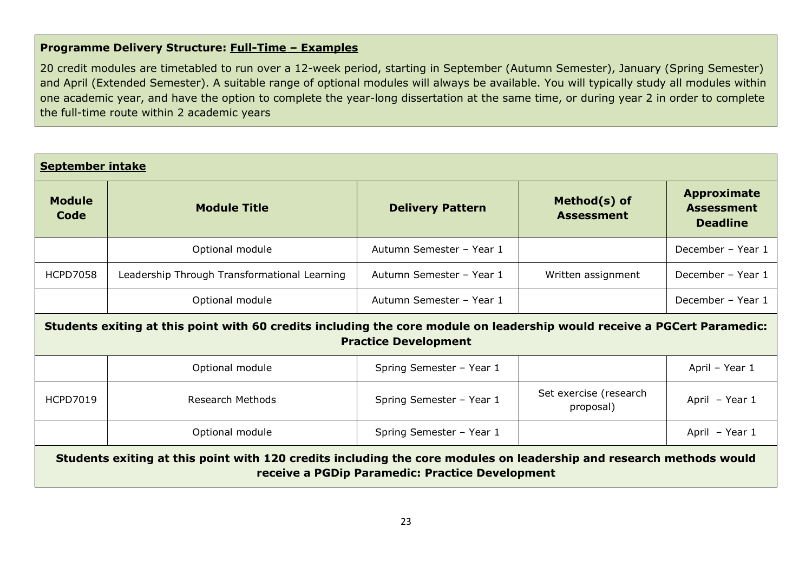# **Programme Delivery Structure: Full-Time – Examples**

20 credit modules are timetabled to run over a 12-week period, starting in September (Autumn Semester), January (Spring Semester) and April (Extended Semester). A suitable range of optional modules will always be available. You will typically study all modules within one academic year, and have the option to complete the year-long dissertation at the same time, or during year 2 in order to complete the full-time route within 2 academic years

| <b>September intake</b>                                                                                                                                                |                                              |                          |                                     |                                                            |
|------------------------------------------------------------------------------------------------------------------------------------------------------------------------|----------------------------------------------|--------------------------|-------------------------------------|------------------------------------------------------------|
| <b>Module</b><br>Code                                                                                                                                                  | <b>Module Title</b>                          | <b>Delivery Pattern</b>  | Method(s) of<br><b>Assessment</b>   | <b>Approximate</b><br><b>Assessment</b><br><b>Deadline</b> |
|                                                                                                                                                                        | Optional module                              | Autumn Semester - Year 1 |                                     | December - Year 1                                          |
| <b>HCPD7058</b>                                                                                                                                                        | Leadership Through Transformational Learning | Autumn Semester - Year 1 | Written assignment                  | December - Year 1                                          |
|                                                                                                                                                                        | Optional module                              | Autumn Semester - Year 1 |                                     | December - Year 1                                          |
| Students exiting at this point with 60 credits including the core module on leadership would receive a PGCert Paramedic:<br><b>Practice Development</b>                |                                              |                          |                                     |                                                            |
|                                                                                                                                                                        | Optional module                              | Spring Semester - Year 1 |                                     | April - Year 1                                             |
| <b>HCPD7019</b>                                                                                                                                                        | <b>Research Methods</b>                      | Spring Semester - Year 1 | Set exercise (research<br>proposal) | April - Year 1                                             |
|                                                                                                                                                                        | Optional module                              | Spring Semester - Year 1 |                                     | April - Year 1                                             |
| Students exiting at this point with 120 credits including the core modules on leadership and research methods would<br>receive a PGDip Paramedic: Practice Development |                                              |                          |                                     |                                                            |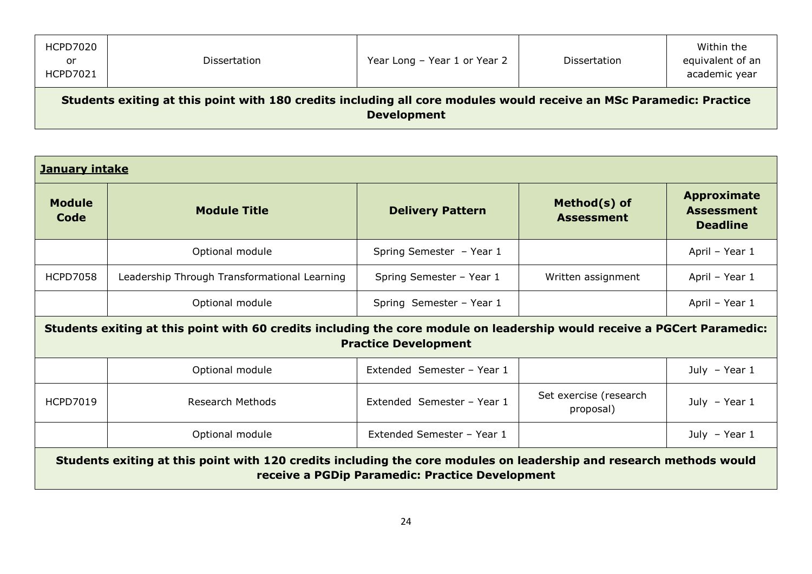| <b>HCPD7020</b><br>or<br>HCPD7021                                                                                                         | Dissertation | Year Long - Year 1 or Year 2 | Dissertation | Within the<br>equivalent of an<br>academic year |
|-------------------------------------------------------------------------------------------------------------------------------------------|--------------|------------------------------|--------------|-------------------------------------------------|
| Students exiting at this point with 180 credits including all core modules would receive an MSc Paramedic: Practice<br><b>Development</b> |              |                              |              |                                                 |

| <b>January intake</b>                                                                                                                                                  |                                              |                            |                                     |                                                            |
|------------------------------------------------------------------------------------------------------------------------------------------------------------------------|----------------------------------------------|----------------------------|-------------------------------------|------------------------------------------------------------|
| <b>Module</b><br>Code                                                                                                                                                  | <b>Module Title</b>                          | <b>Delivery Pattern</b>    | Method(s) of<br><b>Assessment</b>   | <b>Approximate</b><br><b>Assessment</b><br><b>Deadline</b> |
|                                                                                                                                                                        | Optional module                              | Spring Semester - Year 1   |                                     | April - Year 1                                             |
| <b>HCPD7058</b>                                                                                                                                                        | Leadership Through Transformational Learning | Spring Semester - Year 1   | Written assignment                  | April - Year 1                                             |
|                                                                                                                                                                        | Optional module                              | Spring Semester - Year 1   |                                     | April - Year 1                                             |
| Students exiting at this point with 60 credits including the core module on leadership would receive a PGCert Paramedic:<br><b>Practice Development</b>                |                                              |                            |                                     |                                                            |
|                                                                                                                                                                        | Optional module                              | Extended Semester - Year 1 |                                     | July $-$ Year 1                                            |
| <b>HCPD7019</b>                                                                                                                                                        | Research Methods                             | Extended Semester - Year 1 | Set exercise (research<br>proposal) | July $-$ Year 1                                            |
|                                                                                                                                                                        | Optional module                              | Extended Semester - Year 1 |                                     | July - Year $1$                                            |
| Students exiting at this point with 120 credits including the core modules on leadership and research methods would<br>receive a PGDip Paramedic: Practice Development |                                              |                            |                                     |                                                            |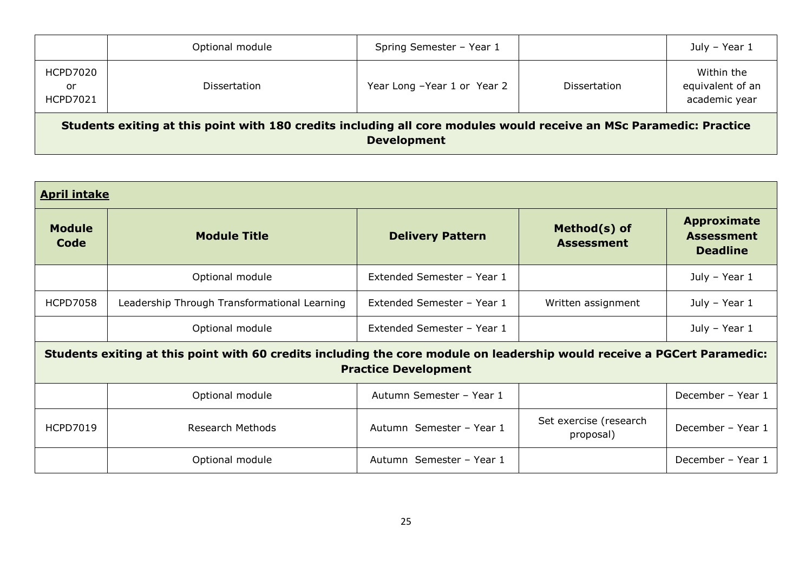|                                                                                                                                           | Optional module     | Spring Semester - Year 1    |                     | July - Year 1                                   |
|-------------------------------------------------------------------------------------------------------------------------------------------|---------------------|-----------------------------|---------------------|-------------------------------------------------|
| <b>HCPD7020</b><br>or<br><b>HCPD7021</b>                                                                                                  | <b>Dissertation</b> | Year Long -Year 1 or Year 2 | <b>Dissertation</b> | Within the<br>equivalent of an<br>academic year |
| Students exiting at this point with 180 credits including all core modules would receive an MSc Paramedic: Practice<br><b>Development</b> |                     |                             |                     |                                                 |

| <b>April intake</b>                                                                                                                                     |                                              |                            |                                     |                                                            |
|---------------------------------------------------------------------------------------------------------------------------------------------------------|----------------------------------------------|----------------------------|-------------------------------------|------------------------------------------------------------|
| <b>Module</b><br>Code                                                                                                                                   | <b>Module Title</b>                          | <b>Delivery Pattern</b>    | Method(s) of<br><b>Assessment</b>   | <b>Approximate</b><br><b>Assessment</b><br><b>Deadline</b> |
|                                                                                                                                                         | Optional module                              | Extended Semester - Year 1 |                                     | July - Year 1                                              |
| <b>HCPD7058</b>                                                                                                                                         | Leadership Through Transformational Learning | Extended Semester - Year 1 | Written assignment                  | July - Year 1                                              |
|                                                                                                                                                         | Optional module                              | Extended Semester - Year 1 |                                     | July - Year 1                                              |
| Students exiting at this point with 60 credits including the core module on leadership would receive a PGCert Paramedic:<br><b>Practice Development</b> |                                              |                            |                                     |                                                            |
|                                                                                                                                                         | Optional module                              | Autumn Semester - Year 1   |                                     | December - Year 1                                          |
| <b>HCPD7019</b>                                                                                                                                         | Research Methods                             | Autumn Semester - Year 1   | Set exercise (research<br>proposal) | December - Year 1                                          |
|                                                                                                                                                         | Optional module                              | Autumn Semester - Year 1   |                                     | December - Year 1                                          |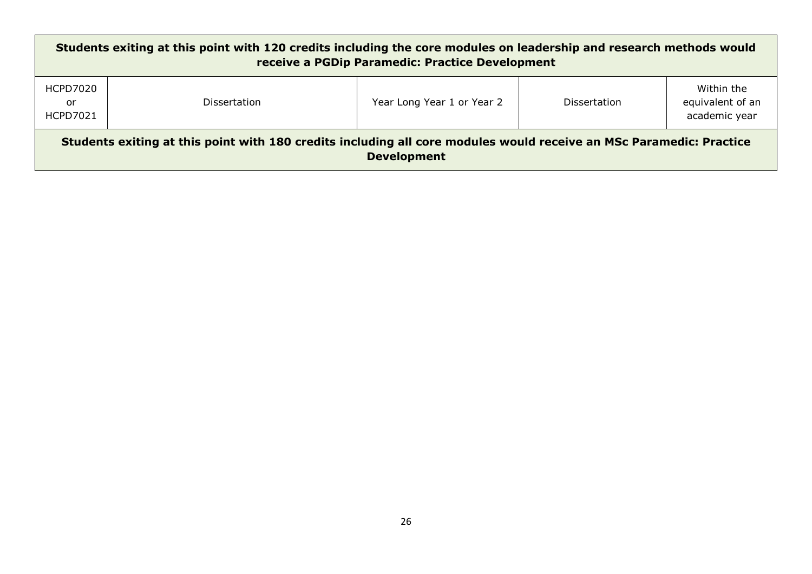| Students exiting at this point with 120 credits including the core modules on leadership and research methods would<br>receive a PGDip Paramedic: Practice Development |                     |                            |                     |                                                 |
|------------------------------------------------------------------------------------------------------------------------------------------------------------------------|---------------------|----------------------------|---------------------|-------------------------------------------------|
| HCPD7020<br>or<br><b>HCPD7021</b>                                                                                                                                      | <b>Dissertation</b> | Year Long Year 1 or Year 2 | <b>Dissertation</b> | Within the<br>equivalent of an<br>academic year |
| Students exiting at this point with 180 credits including all core modules would receive an MSc Paramedic: Practice<br><b>Development</b>                              |                     |                            |                     |                                                 |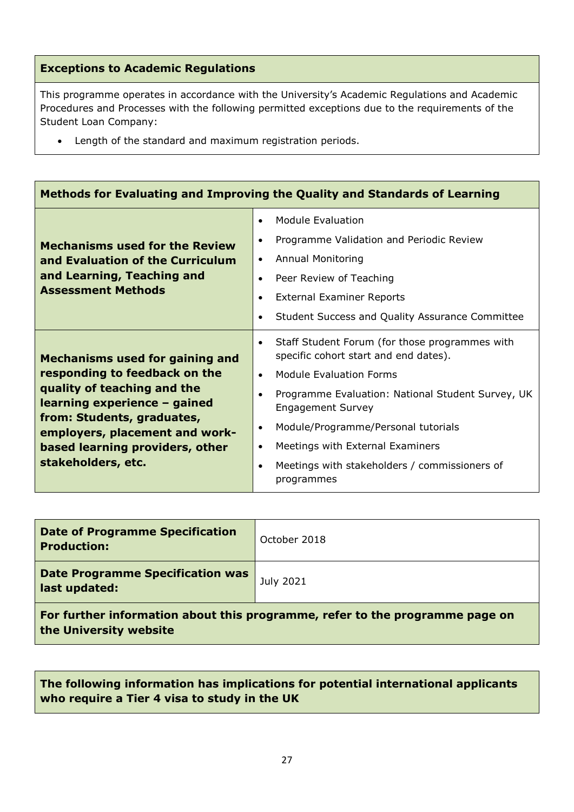# **Exceptions to Academic Regulations**

This programme operates in accordance with the University's Academic Regulations and Academic Procedures and Processes with the following permitted exceptions due to the requirements of the Student Loan Company:

Length of the standard and maximum registration periods.

| Methods for Evaluating and Improving the Quality and Standards of Learning                                                                                                                                                                                      |                                                                                                                                                                                                                                                                                                                                                                                                                             |  |  |
|-----------------------------------------------------------------------------------------------------------------------------------------------------------------------------------------------------------------------------------------------------------------|-----------------------------------------------------------------------------------------------------------------------------------------------------------------------------------------------------------------------------------------------------------------------------------------------------------------------------------------------------------------------------------------------------------------------------|--|--|
| <b>Mechanisms used for the Review</b><br>and Evaluation of the Curriculum<br>and Learning, Teaching and<br><b>Assessment Methods</b>                                                                                                                            | <b>Module Evaluation</b><br>$\bullet$<br>Programme Validation and Periodic Review<br>$\bullet$<br><b>Annual Monitoring</b><br>$\bullet$<br>Peer Review of Teaching<br>$\bullet$<br><b>External Examiner Reports</b><br>$\bullet$<br>Student Success and Quality Assurance Committee<br>$\bullet$                                                                                                                            |  |  |
| <b>Mechanisms used for gaining and</b><br>responding to feedback on the<br>quality of teaching and the<br>learning experience - gained<br>from: Students, graduates,<br>employers, placement and work-<br>based learning providers, other<br>stakeholders, etc. | Staff Student Forum (for those programmes with<br>$\bullet$<br>specific cohort start and end dates).<br>Module Evaluation Forms<br>$\bullet$<br>Programme Evaluation: National Student Survey, UK<br>$\bullet$<br><b>Engagement Survey</b><br>Module/Programme/Personal tutorials<br>$\bullet$<br>Meetings with External Examiners<br>$\bullet$<br>Meetings with stakeholders / commissioners of<br>$\bullet$<br>programmes |  |  |

| <b>Date of Programme Specification</b><br><b>Production:</b>                                           | October 2018 |  |
|--------------------------------------------------------------------------------------------------------|--------------|--|
| Date Programme Specification was<br>last updated:                                                      | July 2021    |  |
| For further information about this programme, refer to the programme page on<br>the University website |              |  |

**The following information has implications for potential international applicants who require a Tier 4 visa to study in the UK**